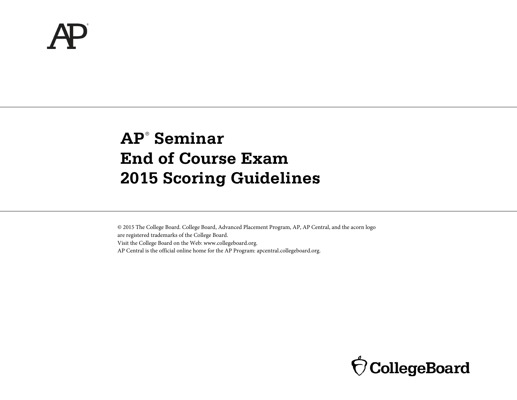# **AP**® **Seminar End of Course Exam 2015 Scoring Guidelines**

© 2015 The College Board. College Board, Advanced Placement Program, AP, AP Central, and the acorn logo are registered trademarks of the College Board. Visit the College Board on the Web: www.collegeboard.org. AP Central is the official online home for the AP Program: apcentral.collegeboard.org.

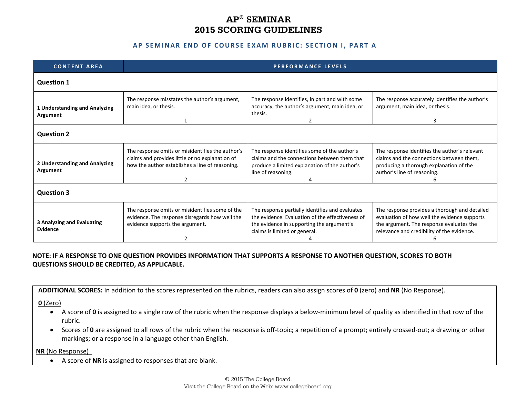# **AP® SEMINAR 2015 SCORING GUIDELINES**

#### **AP SEMINAR END OF COURSE EXAM RUBRIC : SECTION I , PART A**

| <b>CONTENT AREA</b>                           | <b>PERFORMANCE LEVELS</b>                                                                                                                                   |                                                                                                                                                                                   |                                                                                                                                                                                         |  |  |  |
|-----------------------------------------------|-------------------------------------------------------------------------------------------------------------------------------------------------------------|-----------------------------------------------------------------------------------------------------------------------------------------------------------------------------------|-----------------------------------------------------------------------------------------------------------------------------------------------------------------------------------------|--|--|--|
| <b>Question 1</b>                             |                                                                                                                                                             |                                                                                                                                                                                   |                                                                                                                                                                                         |  |  |  |
| 1 Understanding and Analyzing<br>Argument     | The response misstates the author's argument,<br>main idea, or thesis.                                                                                      | The response identifies, in part and with some<br>accuracy, the author's argument, main idea, or<br>thesis.<br>2                                                                  | The response accurately identifies the author's<br>argument, main idea, or thesis.<br>3                                                                                                 |  |  |  |
| <b>Question 2</b>                             |                                                                                                                                                             |                                                                                                                                                                                   |                                                                                                                                                                                         |  |  |  |
| 2 Understanding and Analyzing<br>Argument     | The response omits or misidentifies the author's<br>claims and provides little or no explanation of<br>how the author establishes a line of reasoning.<br>2 | The response identifies some of the author's<br>claims and the connections between them that<br>produce a limited explanation of the author's<br>line of reasoning.<br>4          | The response identifies the author's relevant<br>claims and the connections between them,<br>producing a thorough explanation of the<br>author's line of reasoning.                     |  |  |  |
| <b>Question 3</b>                             |                                                                                                                                                             |                                                                                                                                                                                   |                                                                                                                                                                                         |  |  |  |
| <b>3 Analyzing and Evaluating</b><br>Evidence | The response omits or misidentifies some of the<br>evidence. The response disregards how well the<br>evidence supports the argument.                        | The response partially identifies and evaluates<br>the evidence. Evaluation of the effectiveness of<br>the evidence in supporting the argument's<br>claims is limited or general. | The response provides a thorough and detailed<br>evaluation of how well the evidence supports<br>the argument. The response evaluates the<br>relevance and credibility of the evidence. |  |  |  |

### **NOTE: IF A RESPONSE TO ONE QUESTION PROVIDES INFORMATION THAT SUPPORTS A RESPONSE TO ANOTHER QUESTION, SCORES TO BOTH QUESTIONS SHOULD BE CREDITED, AS APPLICABLE.**

**ADDITIONAL SCORES:** In addition to the scores represented on the rubrics, readers can also assign scores of **0** (zero) and **NR** (No Response).

**0** (Zero)

- A score of **0** is assigned to a single row of the rubric when the response displays a below-minimum level of quality as identified in that row of the rubric.
- Scores of **0** are assigned to all rows of the rubric when the response is off‐topic; a repetition of a prompt; entirely crossed‐out; a drawing or other markings; or a response in a language other than English.

**NR** (No Response)

• A score of **NR** is assigned to responses that are blank.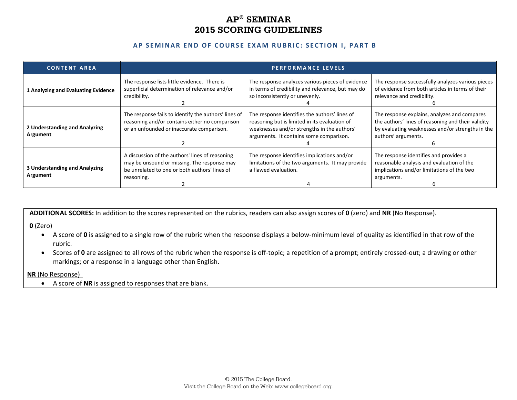# **AP® SEMINAR 2015 SCORING GUIDELINES**

#### **AP SEMINAR END OF COURSE EXAM RUBRIC : SECTION I, PART B**

| <b>CONTENT AREA</b>                       | <b>PERFORMANCE LEVELS</b>                                                                                                                                     |                                                                                                                                                                                          |                                                                                                                                                                               |
|-------------------------------------------|---------------------------------------------------------------------------------------------------------------------------------------------------------------|------------------------------------------------------------------------------------------------------------------------------------------------------------------------------------------|-------------------------------------------------------------------------------------------------------------------------------------------------------------------------------|
| 1 Analyzing and Evaluating Evidence       | The response lists little evidence. There is<br>superficial determination of relevance and/or<br>credibility.                                                 | The response analyzes various pieces of evidence<br>in terms of credibility and relevance, but may do<br>so inconsistently or unevenly.                                                  | The response successfully analyzes various pieces<br>of evidence from both articles in terms of their<br>relevance and credibility.                                           |
| 2 Understanding and Analyzing<br>Argument | The response fails to identify the authors' lines of<br>reasoning and/or contains either no comparison<br>or an unfounded or inaccurate comparison.           | The response identifies the authors' lines of<br>reasoning but is limited in its evaluation of<br>weaknesses and/or strengths in the authors'<br>arguments. It contains some comparison. | The response explains, analyzes and compares<br>the authors' lines of reasoning and their validity<br>by evaluating weaknesses and/or strengths in the<br>authors' arguments. |
| 3 Understanding and Analyzing<br>Argument | A discussion of the authors' lines of reasoning<br>may be unsound or missing. The response may<br>be unrelated to one or both authors' lines of<br>reasoning. | The response identifies implications and/or<br>limitations of the two arguments. It may provide<br>a flawed evaluation.                                                                  | The response identifies and provides a<br>reasonable analysis and evaluation of the<br>implications and/or limitations of the two<br>arguments.                               |

**ADDITIONAL SCORES:** In addition to the scores represented on the rubrics, readers can also assign scores of **0** (zero) and **NR** (No Response).

#### **0** (Zero)

- A score of **0** is assigned to a single row of the rubric when the response displays a below‐minimum level of quality as identified in that row of the rubric.
- Scores of 0 are assigned to all rows of the rubric when the response is off-topic; a repetition of a prompt; entirely crossed-out; a drawing or other markings; or a response in a language other than English.

#### **NR** (No Response)

• A score of **NR** is assigned to responses that are blank.